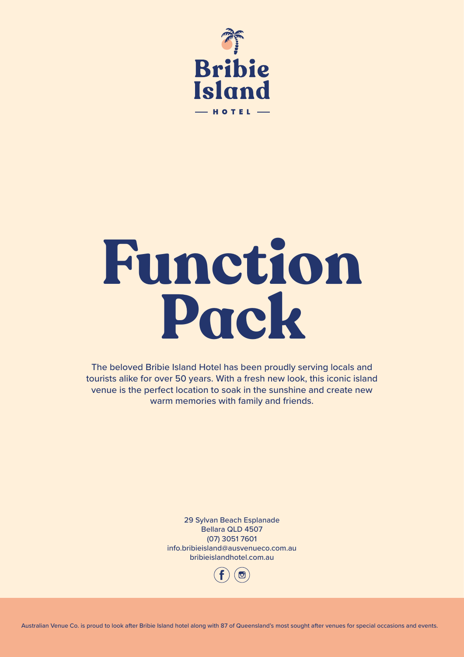

# **Function Pack**

The beloved Bribie Island Hotel has been proudly serving locals and tourists alike for over 50 years. With a fresh new look, this iconic island venue is the perfect location to soak in the sunshine and create new warm memories with family and friends.

> 29 Sylvan Beach Esplanade Bellara QLD 4507 (07) 3051 7601 info.bribieisland@ausvenueco.com.au bribieislandhotel.com.au



Australian Venue Co. is proud to look after Bribie Island hotel along with 87 of Queensland's most sought after venues for special occasions and events.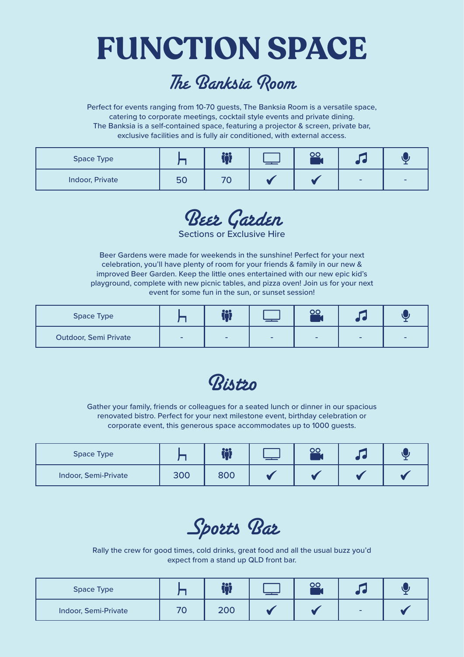### **FUNCTION SPACE**

#### The Banksia Room

Perfect for events ranging from 10-70 guests, The Banksia Room is a versatile space, catering to corporate meetings, cocktail style events and private dining. The Banksia is a self-contained space, featuring a projector & screen, private bar, exclusive facilities and is fully air conditioned, with external access.

| <b>Space Type</b>      |     | <u>009</u><br>ם נ | —— |   |  |
|------------------------|-----|-------------------|----|---|--|
| <b>Indoor, Private</b> | 157 |                   |    | - |  |

Beer Garden

Sections or Exclusive Hire

Beer Gardens were made for weekends in the sunshine! Perfect for your next celebration, you'll have plenty of room for your friends & family in our new & improved Beer Garden. Keep the little ones entertained with our new epic kid's playground, complete with new picnic tables, and pizza oven! Join us for your next event for some fun in the sun, or sunset session!

| <b>Space Type</b>            |   | <u>ios</u><br>- 1        |   |   |   |   |
|------------------------------|---|--------------------------|---|---|---|---|
| <b>Outdoor, Semi Private</b> | - | $\overline{\phantom{0}}$ | - | - | - | - |

Ristin

Gather your family, friends or colleagues for a seated lunch or dinner in our spacious renovated bistro. Perfect for your next milestone event, birthday celebration or corporate event, this generous space accommodates up to 1000 guests.

| <b>Space Type</b>    |     | <u> 200</u><br>LI L |  |  |
|----------------------|-----|---------------------|--|--|
| Indoor, Semi-Private | 300 | 800                 |  |  |

Sports Bar

Rally the crew for good times, cold drinks, great food and all the usual buzz you'd expect from a stand up QLD front bar.

| <b>Space Type</b>    | <u>909</u><br>. . |  |                          |  |
|----------------------|-------------------|--|--------------------------|--|
| Indoor, Semi-Private | 200               |  | $\overline{\phantom{a}}$ |  |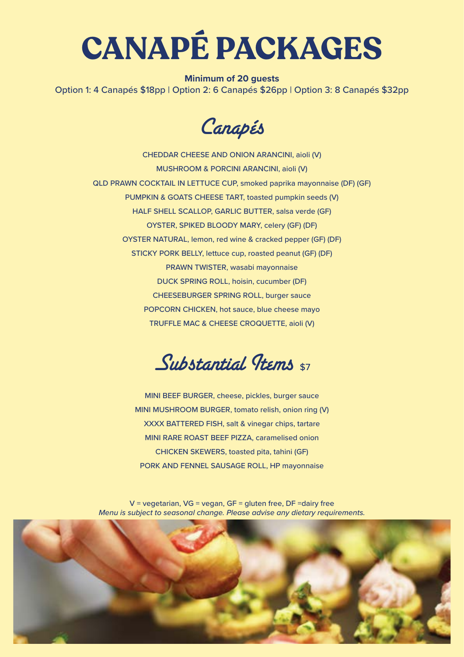## **CANAPÉ PACKAGES**

#### **Minimum of 20 guests**

Option 1: 4 Canapés \$18pp | Option 2: 6 Canapés \$26pp | Option 3: 8 Canapés \$32pp

Canapés

CHEDDAR CHEESE AND ONION ARANCINI, aioli (V) MUSHROOM & PORCINI ARANCINI, aioli (V) QLD PRAWN COCKTAIL IN LETTUCE CUP, smoked paprika mayonnaise (DF) (GF) PUMPKIN & GOATS CHEESE TART, toasted pumpkin seeds (V) HALF SHELL SCALLOP, GARLIC BUTTER, salsa verde (GF) OYSTER, SPIKED BLOODY MARY, celery (GF) (DF) OYSTER NATURAL, lemon, red wine & cracked pepper (GF) (DF) STICKY PORK BELLY, lettuce cup, roasted peanut (GF) (DF) PRAWN TWISTER, wasabi mayonnaise DUCK SPRING ROLL, hoisin, cucumber (DF) CHEESEBURGER SPRING ROLL, burger sauce POPCORN CHICKEN, hot sauce, blue cheese mayo TRUFFLE MAC & CHEESE CROQUETTE, aioli (V)

 $Substantial$  Items  $$7$ 

MINI BEEF BURGER, cheese, pickles, burger sauce MINI MUSHROOM BURGER, tomato relish, onion ring (V) XXXX BATTERED FISH, salt & vinegar chips, tartare MINI RARE ROAST BEEF PIZZA, caramelised onion CHICKEN SKEWERS, toasted pita, tahini (GF) PORK AND FENNEL SAUSAGE ROLL, HP mayonnaise

 $V =$  vegetarian,  $VG =$  vegan,  $GF =$  gluten free,  $DF =$ dairy free *Menu is subject to seasonal change. Please advise any dietary requirements.*

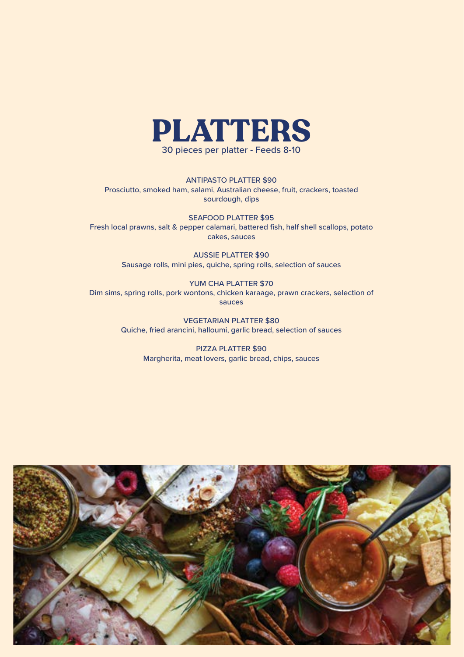

ANTIPASTO PLATTER \$90 Prosciutto, smoked ham, salami, Australian cheese, fruit, crackers, toasted sourdough, dips

SEAFOOD PLATTER \$95 Fresh local prawns, salt & pepper calamari, battered fish, half shell scallops, potato cakes, sauces

> AUSSIE PLATTER \$90 Sausage rolls, mini pies, quiche, spring rolls, selection of sauces

YUM CHA PLATTER \$70 Dim sims, spring rolls, pork wontons, chicken karaage, prawn crackers, selection of sauces

> VEGETARIAN PLATTER \$80 Quiche, fried arancini, halloumi, garlic bread, selection of sauces

> > PIZZA PLATTER \$90 Margherita, meat lovers, garlic bread, chips, sauces

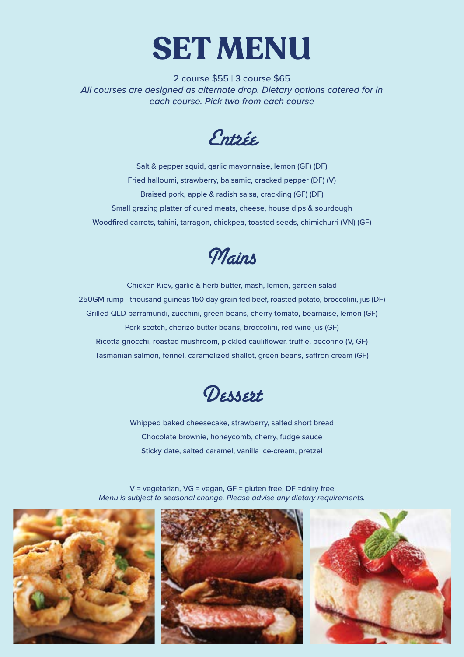

2 course \$55 | 3 course \$65 *All courses are designed as alternate drop. Dietary options catered for in each course. Pick two from each course*

Entrée

Salt & pepper squid, garlic mayonnaise, lemon (GF) (DF) Fried halloumi, strawberry, balsamic, cracked pepper (DF) (V) Braised pork, apple & radish salsa, crackling (GF) (DF) Small grazing platter of cured meats, cheese, house dips & sourdough Woodfired carrots, tahini, tarragon, chickpea, toasted seeds, chimichurri (VN) (GF)



Chicken Kiev, garlic & herb butter, mash, lemon, garden salad 250GM rump - thousand guineas 150 day grain fed beef, roasted potato, broccolini, jus (DF) Grilled QLD barramundi, zucchini, green beans, cherry tomato, bearnaise, lemon (GF) Pork scotch, chorizo butter beans, broccolini, red wine jus (GF) Ricotta gnocchi, roasted mushroom, pickled cauliflower, truffle, pecorino (V, GF) Tasmanian salmon, fennel, caramelized shallot, green beans, saffron cream (GF)



Whipped baked cheesecake, strawberry, salted short bread Chocolate brownie, honeycomb, cherry, fudge sauce Sticky date, salted caramel, vanilla ice-cream, pretzel

 $V =$  vegetarian,  $VG =$  vegan,  $GF =$  gluten free,  $DF =$ dairy free *Menu is subject to seasonal change. Please advise any dietary requirements.*





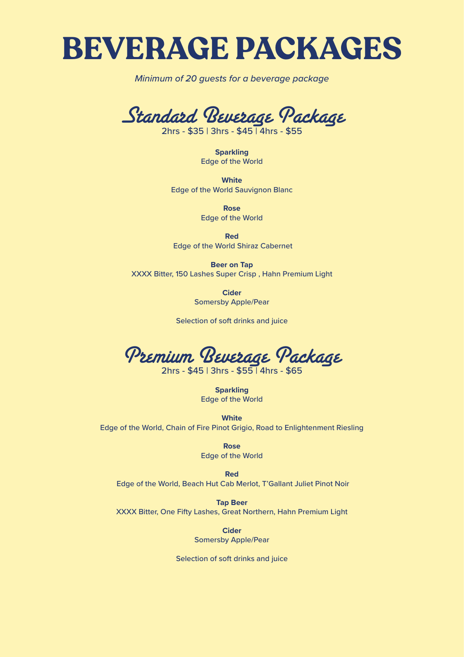#### **BEVERAGE PACKAGES**

*Minimum of 20 guests for a beverage package*



2hrs - \$35 | 3hrs - \$45 | 4hrs - \$55

**Sparkling** Edge of the World

**White** Edge of the World Sauvignon Blanc

> **Rose** Edge of the World

**Red** Edge of the World Shiraz Cabernet

**Beer on Tap** XXXX Bitter, 150 Lashes Super Crisp , Hahn Premium Light

> **Cider** Somersby Apple/Pear

Selection of soft drinks and juice

Premium Beverage Package

2hrs - \$45 | 3hrs - \$55 | 4hrs - \$65

**Sparkling** Edge of the World

**White** Edge of the World, Chain of Fire Pinot Grigio, Road to Enlightenment Riesling

> **Rose** Edge of the World

**Red** Edge of the World, Beach Hut Cab Merlot, T'Gallant Juliet Pinot Noir

**Tap Beer** XXXX Bitter, One Fifty Lashes, Great Northern, Hahn Premium Light

> **Cider** Somersby Apple/Pear

Selection of soft drinks and juice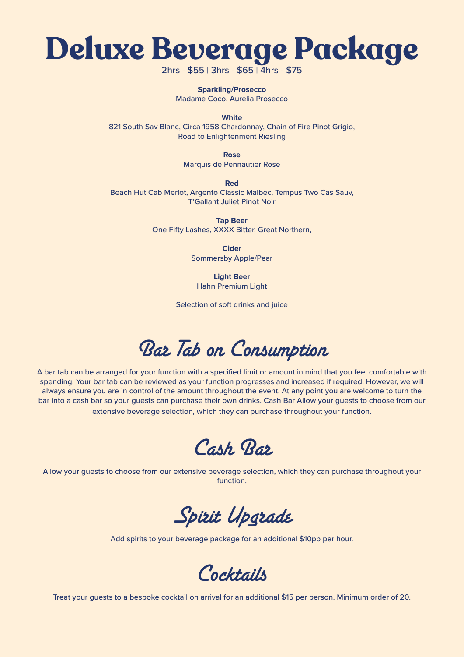

2hrs - \$55 | 3hrs - \$65 | 4hrs - \$75

**Sparkling/Prosecco** Madame Coco, Aurelia Prosecco

**White** 

821 South Sav Blanc, Circa 1958 Chardonnay, Chain of Fire Pinot Grigio, Road to Enlightenment Riesling

**Rose**

Marquis de Pennautier Rose

**Red**  Beach Hut Cab Merlot, Argento Classic Malbec, Tempus Two Cas Sauv, T'Gallant Juliet Pinot Noir

> **Tap Beer** One Fifty Lashes, XXXX Bitter, Great Northern,

> > **Cider** Sommersby Apple/Pear

**Light Beer** Hahn Premium Light

Selection of soft drinks and juice

Bar Tab on Consumption

A bar tab can be arranged for your function with a specified limit or amount in mind that you feel comfortable with spending. Your bar tab can be reviewed as your function progresses and increased if required. However, we will always ensure you are in control of the amount throughout the event. At any point you are welcome to turn the bar into a cash bar so your guests can purchase their own drinks. Cash Bar Allow your guests to choose from our extensive beverage selection, which they can purchase throughout your function.

Cash Bar

Allow your guests to choose from our extensive beverage selection, which they can purchase throughout your function.

Spirit Upgrade

Add spirits to your beverage package for an additional \$10pp per hour.



Treat your guests to a bespoke cocktail on arrival for an additional \$15 per person. Minimum order of 20.